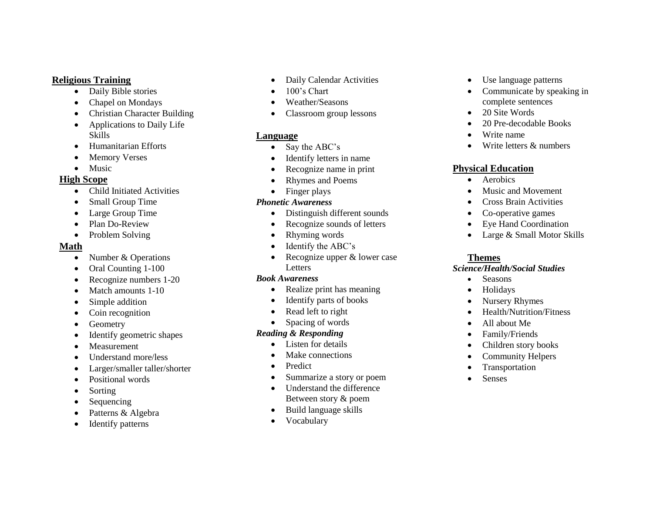#### **Religious Training**

- Daily Bible stories
- Chapel on Mondays
- Christian Character Building
- Applications to Daily Life Skills
- Humanitarian Efforts
- Memory Verses
- Music

#### **High Scope**

- Child Initiated Activities
- Small Group Time
- Large Group Time
- Plan Do-Review
- Problem Solving

## **Math**

- Number & Operations
- Oral Counting 1-100
- Recognize numbers 1-20
- Match amounts 1-10
- Simple addition
- Coin recognition
- Geometry
- Identify geometric shapes
- Measurement
- Understand more/less
- Larger/smaller taller/shorter
- Positional words
- Sorting
- Sequencing
- Patterns & Algebra
- Identify patterns
- Daily Calendar Activities
- 100's Chart
- Weather/Seasons
- Classroom group lessons

## **Language**

- Say the ABC's
- Identify letters in name
- Recognize name in print
- Rhymes and Poems
- Finger plays

#### *Phonetic Awareness*

- Distinguish different sounds
- Recognize sounds of letters
- Rhyming words
- Identify the ABC's
- Recognize upper & lower case Letters

#### *Book Awareness*

- Realize print has meaning
- Identify parts of books
- Read left to right
- Spacing of words

# *Reading & Responding*

- Listen for details
- Make connections
- Predict
- Summarize a story or poem
- Understand the difference Between story & poem
- Build language skills
- Vocabulary
- Use language patterns
- Communicate by speaking in complete sentences
- 20 Site Words
- 20 Pre-decodable Books
- Write name
- Write letters & numbers

# **Physical Education**

- Aerobics
- Music and Movement
- Cross Brain Activities
- Co-operative games
- Eye Hand Coordination
- Large & Small Motor Skills

# **Themes**

## *Science/Health/Social Studies*

- Seasons
- Holidays
- Nursery Rhymes
- Health/Nutrition/Fitness
- All about Me
- Family/Friends
- Children story books
- Community Helpers
- Transportation
- Senses